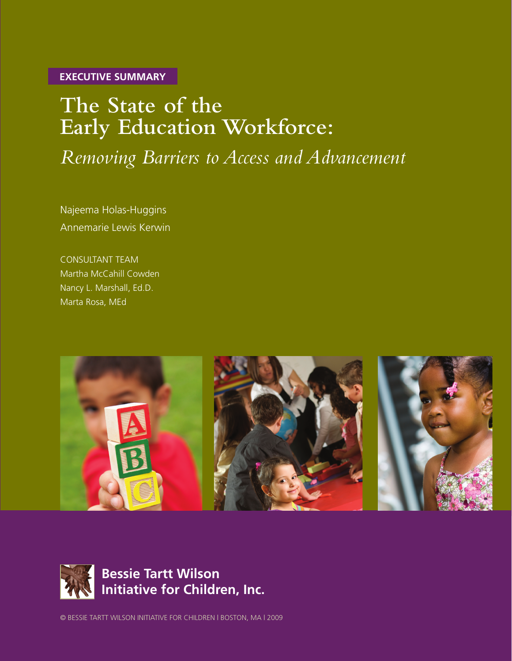**EXECUTIVE SUMMARY**

# **The State of the Early Education Workforce:**

*Removing Barriers to Access and Advancement*

Najeema Holas-Huggins Annemarie Lewis Kerwin

CONSULTANT TEAM Martha McCahill Cowden Nancy L. Marshall, Ed.D. Marta Rosa, MEd





© BESSIE TARTT WILSON INITIATIVE FOR CHILDREN | BOSTON, MA | 2009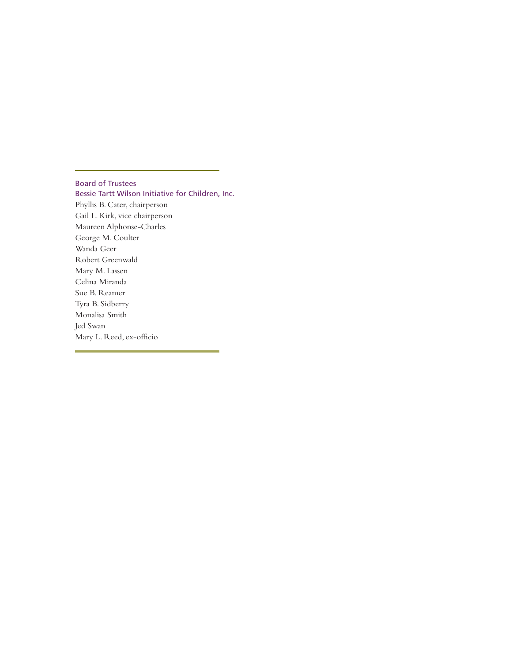#### Board of Trustees

Bessie Tartt Wilson Initiative for Children, Inc. Phyllis B. Cater, chairperson Gail L. Kirk, vice chairperson Maureen Alphonse-Charles George M. Coulter Wanda Geer Robert Greenwald Mary M. Lassen Celina Miranda Sue B. Reamer Tyra B. Sidberry Monalisa Smith Jed Swan Mary L. Reed, ex-officio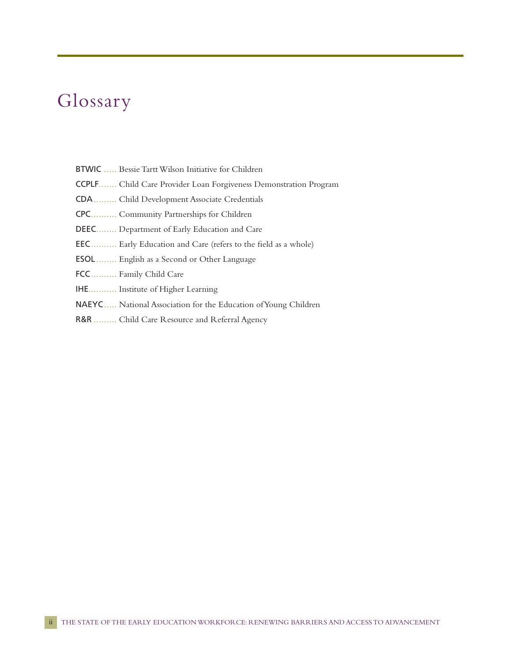# Glossary

- BTWIC ..... Bessie Tartt Wilson Initiative for Children
- CCPLF....... Child Care Provider Loan Forgiveness Demonstration Program
- CDA......... Child Development Associate Credentials
- CPC.......... Community Partnerships for Children
- DEEC........ Department of Early Education and Care
- EEC.......... Early Education and Care (refers to the field as a whole)
- ESOL ........ English as a Second or Other Language
- FCC.......... Family Child Care
- IHE........... Institute of Higher Learning
- NAEYC..... National Association for the Education of Young Children
- R&R ......... Child Care Resource and Referral Agency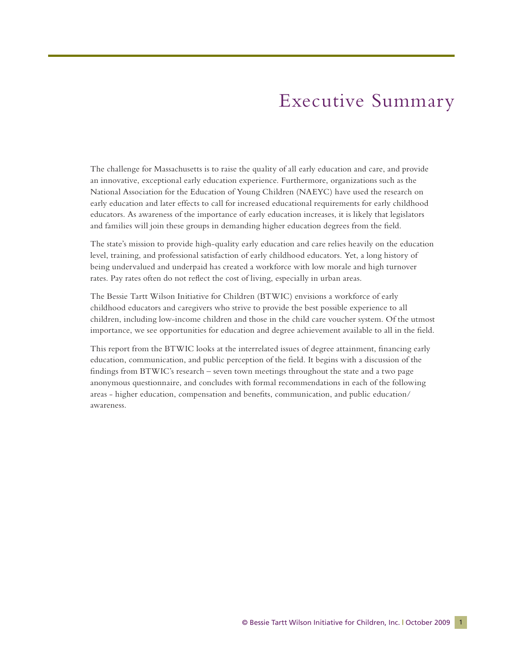## Executive Summary

The challenge for Massachusetts is to raise the quality of all early education and care, and provide an innovative, exceptional early education experience. Furthermore, organizations such as the National Association for the Education of Young Children (NAEYC) have used the research on early education and later effects to call for increased educational requirements for early childhood educators. As awareness of the importance of early education increases, it is likely that legislators and families will join these groups in demanding higher education degrees from the field.

The state's mission to provide high-quality early education and care relies heavily on the education level, training, and professional satisfaction of early childhood educators. Yet, a long history of being undervalued and underpaid has created a workforce with low morale and high turnover rates. Pay rates often do not reflect the cost of living, especially in urban areas.

The Bessie Tartt Wilson Initiative for Children (BTWIC) envisions a workforce of early childhood educators and caregivers who strive to provide the best possible experience to all children, including low-income children and those in the child care voucher system. Of the utmost importance, we see opportunities for education and degree achievement available to all in the field.

This report from the BTWIC looks at the interrelated issues of degree attainment, financing early education, communication, and public perception of the field. It begins with a discussion of the findings from BTWIC's research – seven town meetings throughout the state and a two page anonymous questionnaire, and concludes with formal recommendations in each of the following areas - higher education, compensation and benefits, communication, and public education/ awareness.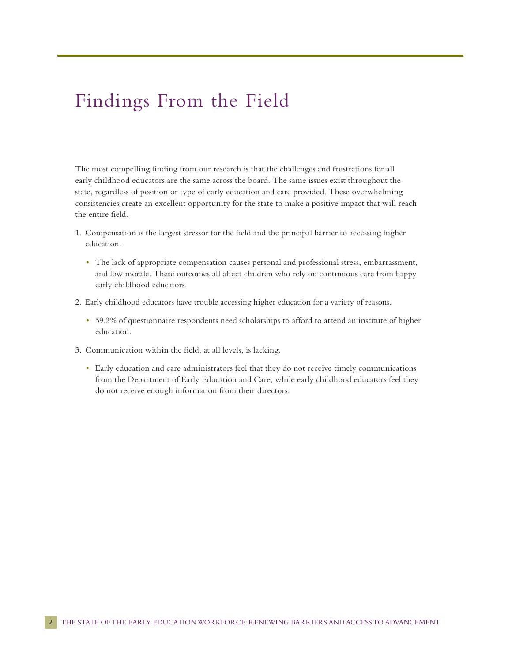## Findings From the Field

The most compelling finding from our research is that the challenges and frustrations for all early childhood educators are the same across the board. The same issues exist throughout the state, regardless of position or type of early education and care provided. These overwhelming consistencies create an excellent opportunity for the state to make a positive impact that will reach the entire field.

- 1. Compensation is the largest stressor for the field and the principal barrier to accessing higher education.
	- The lack of appropriate compensation causes personal and professional stress, embarrassment, and low morale. These outcomes all affect children who rely on continuous care from happy early childhood educators.
- 2. Early childhood educators have trouble accessing higher education for a variety of reasons.
	- 59.2% of questionnaire respondents need scholarships to afford to attend an institute of higher education.
- 3. Communication within the field, at all levels, is lacking.
	- Early education and care administrators feel that they do not receive timely communications from the Department of Early Education and Care, while early childhood educators feel they do not receive enough information from their directors.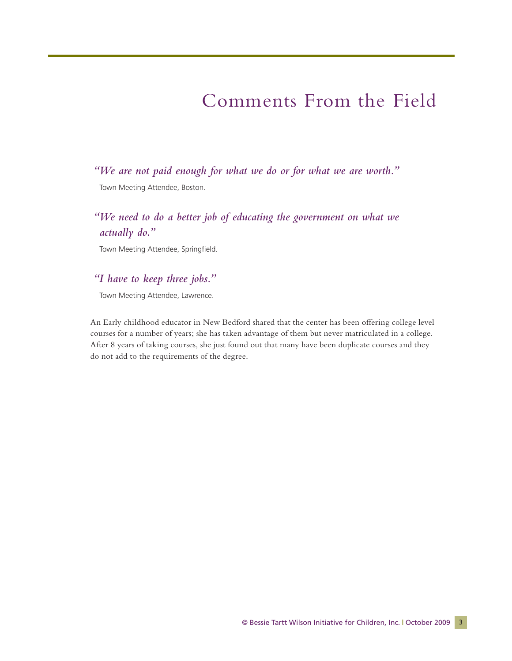## Comments From the Field

*"We are not paid enough for what we do or for what we are worth."* 

Town Meeting Attendee, Boston.

### *"We need to do a better job of educating the government on what we actually do."*

Town Meeting Attendee, Springfield.

### *"I have to keep three jobs."*

Town Meeting Attendee, Lawrence.

An Early childhood educator in New Bedford shared that the center has been offering college level courses for a number of years; she has taken advantage of them but never matriculated in a college. After 8 years of taking courses, she just found out that many have been duplicate courses and they do not add to the requirements of the degree.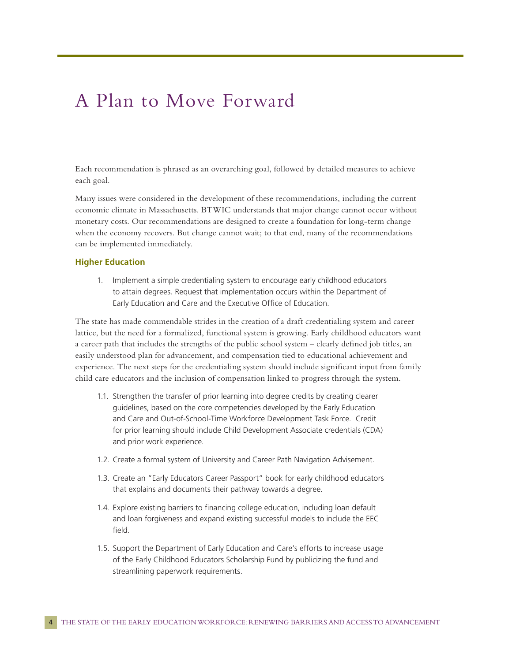### A Plan to Move Forward

Each recommendation is phrased as an overarching goal, followed by detailed measures to achieve each goal.

Many issues were considered in the development of these recommendations, including the current economic climate in Massachusetts. BTWIC understands that major change cannot occur without monetary costs. Our recommendations are designed to create a foundation for long-term change when the economy recovers. But change cannot wait; to that end, many of the recommendations can be implemented immediately.

#### **Higher Education**

1. Implement a simple credentialing system to encourage early childhood educators to attain degrees. Request that implementation occurs within the Department of Early Education and Care and the Executive Office of Education.

The state has made commendable strides in the creation of a draft credentialing system and career lattice, but the need for a formalized, functional system is growing. Early childhood educators want a career path that includes the strengths of the public school system – clearly defined job titles, an easily understood plan for advancement, and compensation tied to educational achievement and experience. The next steps for the credentialing system should include significant input from family child care educators and the inclusion of compensation linked to progress through the system.

- 1.1. Strengthen the transfer of prior learning into degree credits by creating clearer guidelines, based on the core competencies developed by the Early Education and Care and Out-of-School-Time Workforce Development Task Force. Credit for prior learning should include Child Development Associate credentials (CDA) and prior work experience.
- 1.2. Create a formal system of University and Career Path Navigation Advisement.
- 1.3. Create an "Early Educators Career Passport" book for early childhood educators that explains and documents their pathway towards a degree.
- 1.4. Explore existing barriers to financing college education, including loan default and loan forgiveness and expand existing successful models to include the EEC field.
- 1.5. Support the Department of Early Education and Care's efforts to increase usage of the Early Childhood Educators Scholarship Fund by publicizing the fund and streamlining paperwork requirements.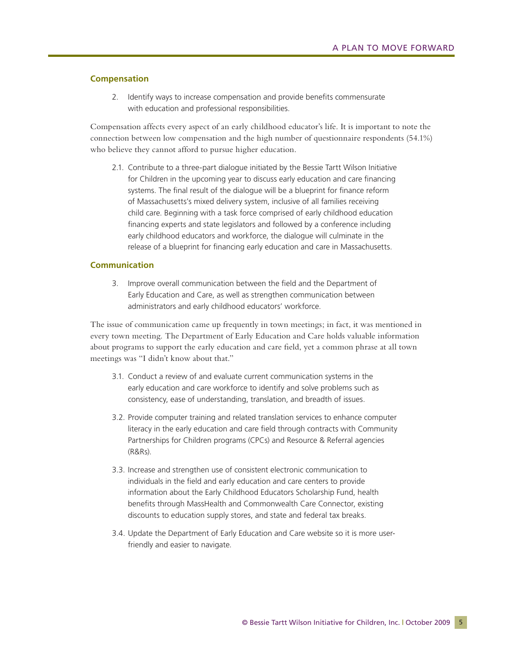#### **Compensation**

2. Identify ways to increase compensation and provide benefits commensurate with education and professional responsibilities.

Compensation affects every aspect of an early childhood educator's life. It is important to note the connection between low compensation and the high number of questionnaire respondents (54.1%) who believe they cannot afford to pursue higher education.

2.1. Contribute to a three-part dialogue initiated by the Bessie Tartt Wilson Initiative for Children in the upcoming year to discuss early education and care financing systems. The final result of the dialogue will be a blueprint for finance reform of Massachusetts's mixed delivery system, inclusive of all families receiving child care. Beginning with a task force comprised of early childhood education financing experts and state legislators and followed by a conference including early childhood educators and workforce, the dialogue will culminate in the release of a blueprint for financing early education and care in Massachusetts.

#### **Communication**

3. Improve overall communication between the field and the Department of Early Education and Care, as well as strengthen communication between administrators and early childhood educators' workforce.

The issue of communication came up frequently in town meetings; in fact, it was mentioned in every town meeting. The Department of Early Education and Care holds valuable information about programs to support the early education and care field, yet a common phrase at all town meetings was "I didn't know about that."

- 3.1. Conduct a review of and evaluate current communication systems in the early education and care workforce to identify and solve problems such as consistency, ease of understanding, translation, and breadth of issues.
- 3.2. Provide computer training and related translation services to enhance computer literacy in the early education and care field through contracts with Community Partnerships for Children programs (CPCs) and Resource & Referral agencies (R&Rs).
- 3.3. Increase and strengthen use of consistent electronic communication to individuals in the field and early education and care centers to provide information about the Early Childhood Educators Scholarship Fund, health benefits through MassHealth and Commonwealth Care Connector, existing discounts to education supply stores, and state and federal tax breaks.
- 3.4. Update the Department of Early Education and Care website so it is more userfriendly and easier to navigate.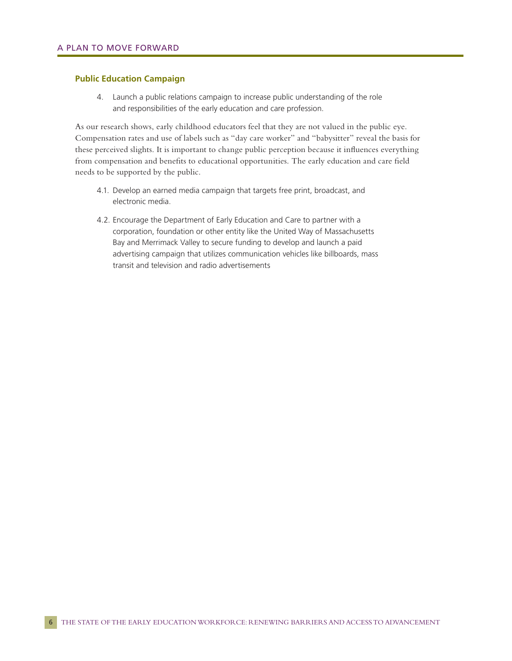#### **Public Education Campaign**

4. Launch a public relations campaign to increase public understanding of the role and responsibilities of the early education and care profession.

As our research shows, early childhood educators feel that they are not valued in the public eye. Compensation rates and use of labels such as "day care worker" and "babysitter" reveal the basis for these perceived slights. It is important to change public perception because it influences everything from compensation and benefits to educational opportunities. The early education and care field needs to be supported by the public.

- 4.1. Develop an earned media campaign that targets free print, broadcast, and electronic media.
- 4.2. Encourage the Department of Early Education and Care to partner with a corporation, foundation or other entity like the United Way of Massachusetts Bay and Merrimack Valley to secure funding to develop and launch a paid advertising campaign that utilizes communication vehicles like billboards, mass transit and television and radio advertisements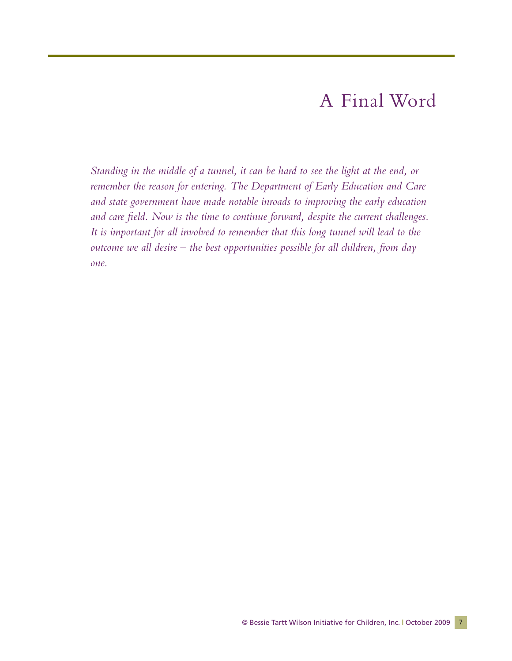## A Final Word

*Standing in the middle of a tunnel, it can be hard to see the light at the end, or remember the reason for entering. The Department of Early Education and Care and state government have made notable inroads to improving the early education and care field. Now is the time to continue forward, despite the current challenges. It is important for all involved to remember that this long tunnel will lead to the outcome we all desire – the best opportunities possible for all children, from day one.*